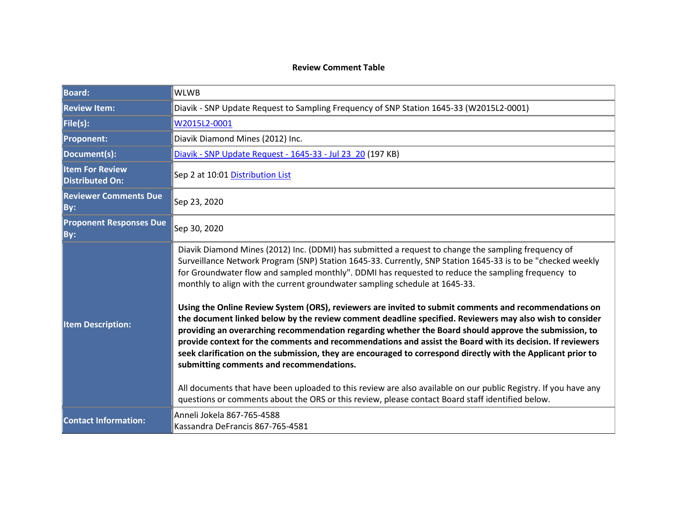#### **Review Comment Table**

| <b>Board:</b>                                    | <b>WLWB</b>                                                                                                                                                                                                                                                                                                                                                                                                                                                                                                                                                                                                                                                                                                                                                                                                                                                                                                                                                                                                                                                                                                                                                                                                                         |  |
|--------------------------------------------------|-------------------------------------------------------------------------------------------------------------------------------------------------------------------------------------------------------------------------------------------------------------------------------------------------------------------------------------------------------------------------------------------------------------------------------------------------------------------------------------------------------------------------------------------------------------------------------------------------------------------------------------------------------------------------------------------------------------------------------------------------------------------------------------------------------------------------------------------------------------------------------------------------------------------------------------------------------------------------------------------------------------------------------------------------------------------------------------------------------------------------------------------------------------------------------------------------------------------------------------|--|
| <b>Review Item:</b>                              | Diavik - SNP Update Request to Sampling Frequency of SNP Station 1645-33 (W2015L2-0001)                                                                                                                                                                                                                                                                                                                                                                                                                                                                                                                                                                                                                                                                                                                                                                                                                                                                                                                                                                                                                                                                                                                                             |  |
| File(s):                                         | W2015L2-0001                                                                                                                                                                                                                                                                                                                                                                                                                                                                                                                                                                                                                                                                                                                                                                                                                                                                                                                                                                                                                                                                                                                                                                                                                        |  |
| <b>Proponent:</b>                                | Diavik Diamond Mines (2012) Inc.                                                                                                                                                                                                                                                                                                                                                                                                                                                                                                                                                                                                                                                                                                                                                                                                                                                                                                                                                                                                                                                                                                                                                                                                    |  |
| Document(s):                                     | Diavik - SNP Update Request - 1645-33 - Jul 23 20 (197 KB)                                                                                                                                                                                                                                                                                                                                                                                                                                                                                                                                                                                                                                                                                                                                                                                                                                                                                                                                                                                                                                                                                                                                                                          |  |
| <b>Item For Review</b><br><b>Distributed On:</b> | Sep 2 at 10:01 Distribution List                                                                                                                                                                                                                                                                                                                                                                                                                                                                                                                                                                                                                                                                                                                                                                                                                                                                                                                                                                                                                                                                                                                                                                                                    |  |
| <b>Reviewer Comments Due</b><br>By:              | Sep 23, 2020                                                                                                                                                                                                                                                                                                                                                                                                                                                                                                                                                                                                                                                                                                                                                                                                                                                                                                                                                                                                                                                                                                                                                                                                                        |  |
| <b>Proponent Responses Due</b><br>By:            | Sep 30, 2020                                                                                                                                                                                                                                                                                                                                                                                                                                                                                                                                                                                                                                                                                                                                                                                                                                                                                                                                                                                                                                                                                                                                                                                                                        |  |
| <b>Item Description:</b>                         | Diavik Diamond Mines (2012) Inc. (DDMI) has submitted a request to change the sampling frequency of<br>Surveillance Network Program (SNP) Station 1645-33. Currently, SNP Station 1645-33 is to be "checked weekly<br>for Groundwater flow and sampled monthly". DDMI has requested to reduce the sampling frequency to<br>monthly to align with the current groundwater sampling schedule at 1645-33.<br>Using the Online Review System (ORS), reviewers are invited to submit comments and recommendations on<br>the document linked below by the review comment deadline specified. Reviewers may also wish to consider<br>providing an overarching recommendation regarding whether the Board should approve the submission, to<br>provide context for the comments and recommendations and assist the Board with its decision. If reviewers<br>seek clarification on the submission, they are encouraged to correspond directly with the Applicant prior to<br>submitting comments and recommendations.<br>All documents that have been uploaded to this review are also available on our public Registry. If you have any<br>questions or comments about the ORS or this review, please contact Board staff identified below. |  |
| <b>Contact Information:</b>                      | Anneli Jokela 867-765-4588<br>Kassandra DeFrancis 867-765-4581                                                                                                                                                                                                                                                                                                                                                                                                                                                                                                                                                                                                                                                                                                                                                                                                                                                                                                                                                                                                                                                                                                                                                                      |  |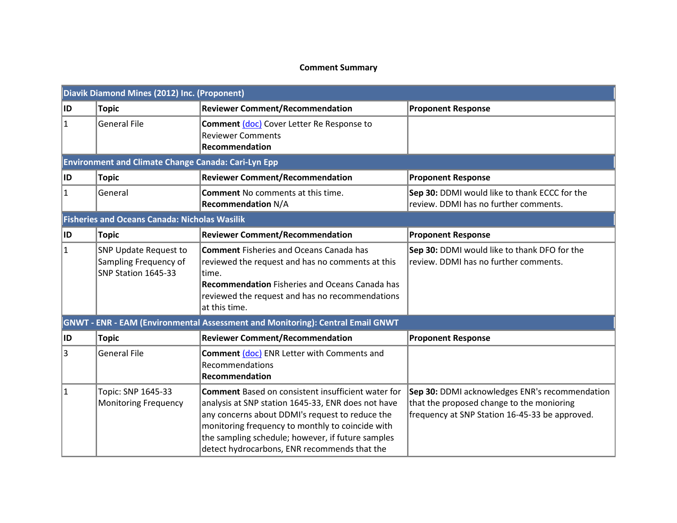### **Comment Summary**

|           | Diavik Diamond Mines (2012) Inc. (Proponent)                                 |                                                                                                                                                                                                                                                                                                                             |                                                                                                                                               |  |
|-----------|------------------------------------------------------------------------------|-----------------------------------------------------------------------------------------------------------------------------------------------------------------------------------------------------------------------------------------------------------------------------------------------------------------------------|-----------------------------------------------------------------------------------------------------------------------------------------------|--|
| ID.       | <b>Topic</b>                                                                 | <b>Reviewer Comment/Recommendation</b>                                                                                                                                                                                                                                                                                      | <b>Proponent Response</b>                                                                                                                     |  |
| $\vert$ 1 | <b>General File</b>                                                          | Comment (doc) Cover Letter Re Response to<br><b>Reviewer Comments</b><br>Recommendation                                                                                                                                                                                                                                     |                                                                                                                                               |  |
|           | <b>Environment and Climate Change Canada: Cari-Lyn Epp</b>                   |                                                                                                                                                                                                                                                                                                                             |                                                                                                                                               |  |
| ID        | <b>Topic</b>                                                                 | <b>Reviewer Comment/Recommendation</b>                                                                                                                                                                                                                                                                                      | <b>Proponent Response</b>                                                                                                                     |  |
| $\vert$ 1 | General                                                                      | <b>Comment No comments at this time.</b><br><b>Recommendation N/A</b>                                                                                                                                                                                                                                                       | Sep 30: DDMI would like to thank ECCC for the<br>review. DDMI has no further comments.                                                        |  |
|           | <b>Fisheries and Oceans Canada: Nicholas Wasilik</b>                         |                                                                                                                                                                                                                                                                                                                             |                                                                                                                                               |  |
| ID.       | <b>Topic</b>                                                                 | <b>Reviewer Comment/Recommendation</b>                                                                                                                                                                                                                                                                                      | <b>Proponent Response</b>                                                                                                                     |  |
| 1         | <b>SNP Update Request to</b><br>Sampling Frequency of<br>SNP Station 1645-33 | <b>Comment</b> Fisheries and Oceans Canada has<br>reviewed the request and has no comments at this<br>ltime.<br><b>Recommendation Fisheries and Oceans Canada has</b><br>reviewed the request and has no recommendations<br>at this time.                                                                                   | Sep 30: DDMI would like to thank DFO for the<br>review. DDMI has no further comments.                                                         |  |
|           |                                                                              | GNWT - ENR - EAM (Environmental Assessment and Monitoring): Central Email GNWT                                                                                                                                                                                                                                              |                                                                                                                                               |  |
| ID.       | <b>Topic</b>                                                                 | <b>Reviewer Comment/Recommendation</b>                                                                                                                                                                                                                                                                                      | <b>Proponent Response</b>                                                                                                                     |  |
| 3         | <b>General File</b>                                                          | Comment (doc) ENR Letter with Comments and<br>Recommendations<br>Recommendation                                                                                                                                                                                                                                             |                                                                                                                                               |  |
| 1         | Topic: SNP 1645-33<br><b>Monitoring Frequency</b>                            | <b>Comment</b> Based on consistent insufficient water for<br>analysis at SNP station 1645-33, ENR does not have<br>any concerns about DDMI's request to reduce the<br>monitoring frequency to monthly to coincide with<br>the sampling schedule; however, if future samples<br>detect hydrocarbons, ENR recommends that the | Sep 30: DDMI acknowledges ENR's recommendation<br>that the proposed change to the monioring<br>frequency at SNP Station 16-45-33 be approved. |  |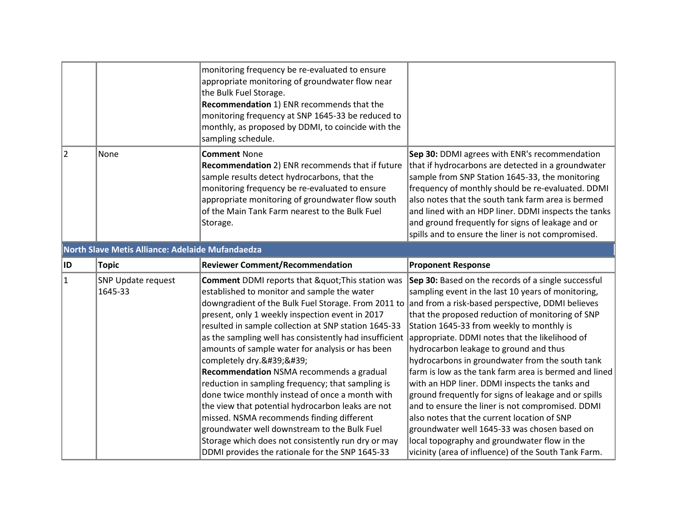|                                                  |                                      | monitoring frequency be re-evaluated to ensure<br>appropriate monitoring of groundwater flow near<br>the Bulk Fuel Storage.<br>Recommendation 1) ENR recommends that the<br>monitoring frequency at SNP 1645-33 be reduced to<br>monthly, as proposed by DDMI, to coincide with the<br>sampling schedule.                                                                                                                                                                                                                                                                                                                                                     |                                                                                                                                                                                                                                                                                                                                                                                                                                                                                                                                                                                                                                                                                     |
|--------------------------------------------------|--------------------------------------|---------------------------------------------------------------------------------------------------------------------------------------------------------------------------------------------------------------------------------------------------------------------------------------------------------------------------------------------------------------------------------------------------------------------------------------------------------------------------------------------------------------------------------------------------------------------------------------------------------------------------------------------------------------|-------------------------------------------------------------------------------------------------------------------------------------------------------------------------------------------------------------------------------------------------------------------------------------------------------------------------------------------------------------------------------------------------------------------------------------------------------------------------------------------------------------------------------------------------------------------------------------------------------------------------------------------------------------------------------------|
| 2                                                | None                                 | <b>Comment None</b><br>Recommendation 2) ENR recommends that if future<br>sample results detect hydrocarbons, that the<br>monitoring frequency be re-evaluated to ensure<br>appropriate monitoring of groundwater flow south<br>of the Main Tank Farm nearest to the Bulk Fuel<br>Storage.                                                                                                                                                                                                                                                                                                                                                                    | Sep 30: DDMI agrees with ENR's recommendation<br>that if hydrocarbons are detected in a groundwater<br>sample from SNP Station 1645-33, the monitoring<br>frequency of monthly should be re-evaluated. DDMI<br>also notes that the south tank farm area is bermed<br>and lined with an HDP liner. DDMI inspects the tanks<br>and ground frequently for signs of leakage and or<br>spills and to ensure the liner is not compromised.                                                                                                                                                                                                                                                |
| North Slave Metis Alliance: Adelaide Mufandaedza |                                      |                                                                                                                                                                                                                                                                                                                                                                                                                                                                                                                                                                                                                                                               |                                                                                                                                                                                                                                                                                                                                                                                                                                                                                                                                                                                                                                                                                     |
| ID                                               | <b>Topic</b>                         | <b>Reviewer Comment/Recommendation</b>                                                                                                                                                                                                                                                                                                                                                                                                                                                                                                                                                                                                                        | <b>Proponent Response</b>                                                                                                                                                                                                                                                                                                                                                                                                                                                                                                                                                                                                                                                           |
| $\vert$ 1                                        | <b>SNP Update request</b><br>1645-33 | <b>Comment</b> DDMI reports that " This station was<br>established to monitor and sample the water<br>downgradient of the Bulk Fuel Storage. From 2011 to<br>present, only 1 weekly inspection event in 2017<br>resulted in sample collection at SNP station 1645-33<br>as the sampling well has consistently had insufficient<br>amounts of sample water for analysis or has been<br>completely dry.''<br>Recommendation NSMA recommends a gradual<br>reduction in sampling frequency; that sampling is<br>done twice monthly instead of once a month with<br>the view that potential hydrocarbon leaks are not<br>missed. NSMA recommends finding different | Sep 30: Based on the records of a single successful<br>sampling event in the last 10 years of monitoring,<br>and from a risk-based perspective, DDMI believes<br>that the proposed reduction of monitoring of SNP<br>Station 1645-33 from weekly to monthly is<br>appropriate. DDMI notes that the likelihood of<br>hydrocarbon leakage to ground and thus<br>hydrocarbons in groundwater from the south tank<br>farm is low as the tank farm area is bermed and lined<br>with an HDP liner. DDMI inspects the tanks and<br>ground frequently for signs of leakage and or spills<br>and to ensure the liner is not compromised. DDMI<br>also notes that the current location of SNP |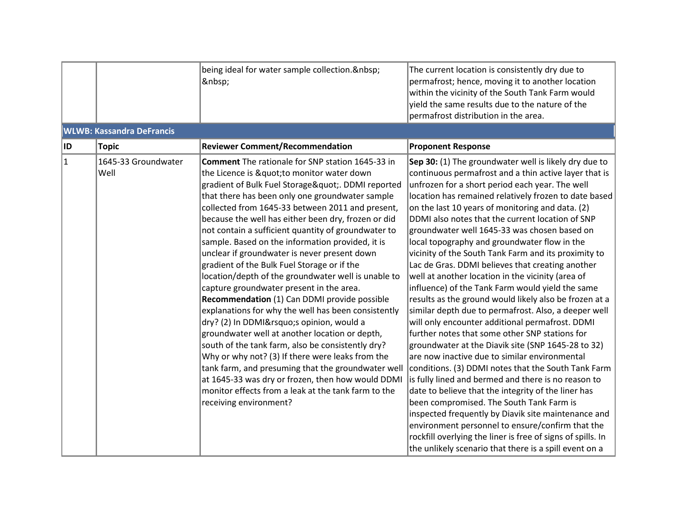|     |                                  | being ideal for water sample collection.<br>                                                                                                                                                                                                                                                                                                                                                                                                                                                                                                                                                                                                                                                                                                                                                                                                                                                                                                                                                                                                                                                                                       | The current location is consistently dry due to<br>permafrost; hence, moving it to another location<br>within the vicinity of the South Tank Farm would<br>yield the same results due to the nature of the<br>permafrost distribution in the area.                                                                                                                                                                                                                                                                                                                                                                                                                                                                                                                                                                                                                                                                                                                                                                                                                                                                                                                                                                                                                                                                                                                                                                                         |
|-----|----------------------------------|------------------------------------------------------------------------------------------------------------------------------------------------------------------------------------------------------------------------------------------------------------------------------------------------------------------------------------------------------------------------------------------------------------------------------------------------------------------------------------------------------------------------------------------------------------------------------------------------------------------------------------------------------------------------------------------------------------------------------------------------------------------------------------------------------------------------------------------------------------------------------------------------------------------------------------------------------------------------------------------------------------------------------------------------------------------------------------------------------------------------------------|--------------------------------------------------------------------------------------------------------------------------------------------------------------------------------------------------------------------------------------------------------------------------------------------------------------------------------------------------------------------------------------------------------------------------------------------------------------------------------------------------------------------------------------------------------------------------------------------------------------------------------------------------------------------------------------------------------------------------------------------------------------------------------------------------------------------------------------------------------------------------------------------------------------------------------------------------------------------------------------------------------------------------------------------------------------------------------------------------------------------------------------------------------------------------------------------------------------------------------------------------------------------------------------------------------------------------------------------------------------------------------------------------------------------------------------------|
|     | <b>WLWB: Kassandra DeFrancis</b> |                                                                                                                                                                                                                                                                                                                                                                                                                                                                                                                                                                                                                                                                                                                                                                                                                                                                                                                                                                                                                                                                                                                                    |                                                                                                                                                                                                                                                                                                                                                                                                                                                                                                                                                                                                                                                                                                                                                                                                                                                                                                                                                                                                                                                                                                                                                                                                                                                                                                                                                                                                                                            |
| ID. | Topic                            | <b>Reviewer Comment/Recommendation</b>                                                                                                                                                                                                                                                                                                                                                                                                                                                                                                                                                                                                                                                                                                                                                                                                                                                                                                                                                                                                                                                                                             | <b>Proponent Response</b>                                                                                                                                                                                                                                                                                                                                                                                                                                                                                                                                                                                                                                                                                                                                                                                                                                                                                                                                                                                                                                                                                                                                                                                                                                                                                                                                                                                                                  |
| 1   | 1645-33 Groundwater<br>Well      | <b>Comment</b> The rationale for SNP station 1645-33 in<br>the Licence is " to monitor water down<br>gradient of Bulk Fuel Storage". DDMI reported<br>that there has been only one groundwater sample<br>collected from 1645-33 between 2011 and present,<br>because the well has either been dry, frozen or did<br>not contain a sufficient quantity of groundwater to<br>sample. Based on the information provided, it is<br>unclear if groundwater is never present down<br>gradient of the Bulk Fuel Storage or if the<br>location/depth of the groundwater well is unable to<br>capture groundwater present in the area.<br>Recommendation (1) Can DDMI provide possible<br>explanations for why the well has been consistently<br>dry? (2) In DDMI's opinion, would a<br>groundwater well at another location or depth,<br>south of the tank farm, also be consistently dry?<br>Why or why not? (3) If there were leaks from the<br>tank farm, and presuming that the groundwater well<br>at 1645-33 was dry or frozen, then how would DDMI<br>monitor effects from a leak at the tank farm to the<br>receiving environment? | Sep 30: (1) The groundwater well is likely dry due to<br>continuous permafrost and a thin active layer that is<br>unfrozen for a short period each year. The well<br>location has remained relatively frozen to date based<br>on the last 10 years of monitoring and data. (2)<br>DDMI also notes that the current location of SNP<br>groundwater well 1645-33 was chosen based on<br>local topography and groundwater flow in the<br>vicinity of the South Tank Farm and its proximity to<br>Lac de Gras. DDMI believes that creating another<br>well at another location in the vicinity (area of<br>influence) of the Tank Farm would yield the same<br>results as the ground would likely also be frozen at a<br>similar depth due to permafrost. Also, a deeper well<br>will only encounter additional permafrost. DDMI<br>further notes that some other SNP stations for<br>groundwater at the Diavik site (SNP 1645-28 to 32)<br>are now inactive due to similar environmental<br>conditions. (3) DDMI notes that the South Tank Farm<br>is fully lined and bermed and there is no reason to<br>date to believe that the integrity of the liner has<br>been compromised. The South Tank Farm is<br>inspected frequently by Diavik site maintenance and<br>environment personnel to ensure/confirm that the<br>rockfill overlying the liner is free of signs of spills. In<br>the unlikely scenario that there is a spill event on a |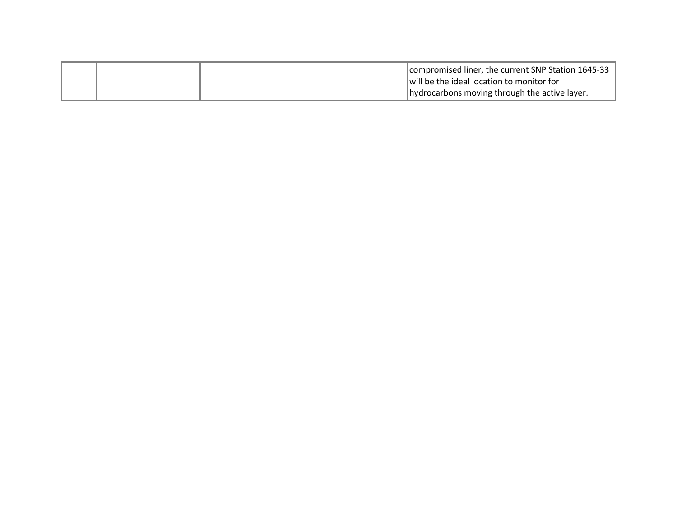|  | compromised liner, the current SNP Station 1645-33 |
|--|----------------------------------------------------|
|  | will be the ideal location to monitor for          |
|  | hydrocarbons moving through the active layer.      |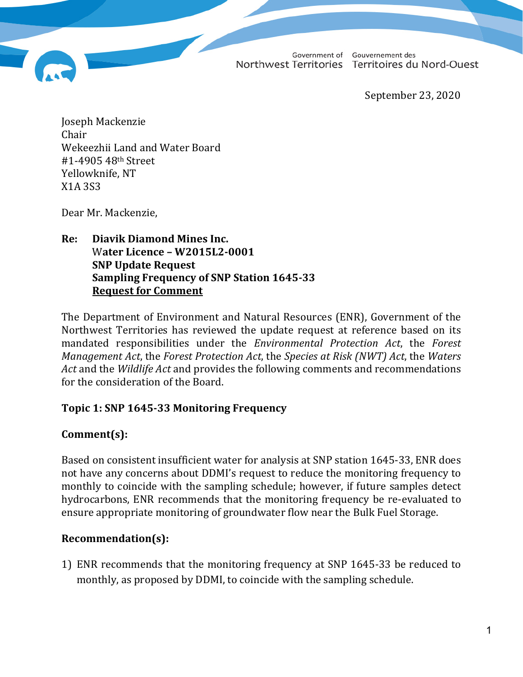Government of Gouvernement des Northwest Territories Territoires du Nord-Ouest

September 23, 2020

Joseph Mackenzie Chair Wekeezhii Land and Water Board #1-4905 48th Street Yellowknife, NT X1A 3S3

Dear Mr. Mackenzie,

**Re: Diavik Diamond Mines Inc.** W**ater Licence – W2015L2-0001 SNP Update Request Sampling Frequency of SNP Station 1645-33 Request for Comment**

The Department of Environment and Natural Resources (ENR), Government of the Northwest Territories has reviewed the update request at reference based on its mandated responsibilities under the *Environmental Protection Act*, the *Forest Management Act*, the *Forest Protection Act*, the *Species at Risk (NWT) Act*, the *Waters Act* and the *Wildlife Act* and provides the following comments and recommendations for the consideration of the Board.

## **Topic 1: SNP 1645-33 Monitoring Frequency**

## **Comment(s):**

Based on consistent insufficient water for analysis at SNP station 1645-33, ENR does not have any concerns about DDMI's request to reduce the monitoring frequency to monthly to coincide with the sampling schedule; however, if future samples detect hydrocarbons, ENR recommends that the monitoring frequency be re-evaluated to ensure appropriate monitoring of groundwater flow near the Bulk Fuel Storage.

## **Recommendation(s):**

1) ENR recommends that the monitoring frequency at SNP 1645-33 be reduced to monthly, as proposed by DDMI, to coincide with the sampling schedule.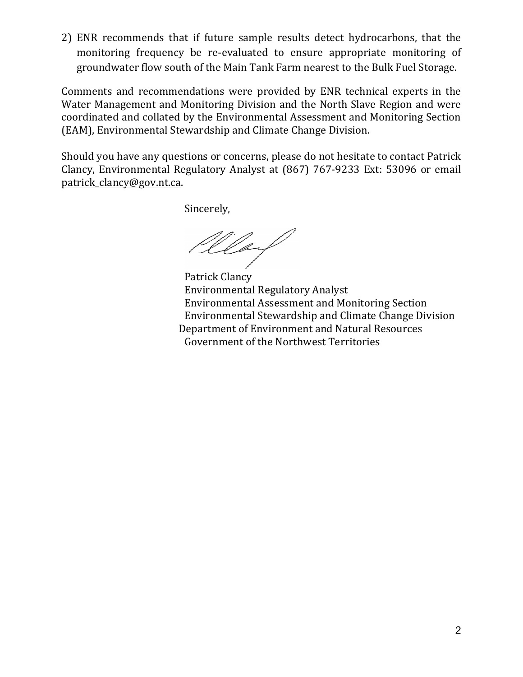2) ENR recommends that if future sample results detect hydrocarbons, that the monitoring frequency be re-evaluated to ensure appropriate monitoring of groundwater flow south of the Main Tank Farm nearest to the Bulk Fuel Storage.

Comments and recommendations were provided by ENR technical experts in the Water Management and Monitoring Division and the North Slave Region and were coordinated and collated by the Environmental Assessment and Monitoring Section (EAM), Environmental Stewardship and Climate Change Division.

Should you have any questions or concerns, please do not hesitate to contact Patrick Clancy, Environmental Regulatory Analyst at (867) 767-9233 Ext: 53096 or email patrick clancy@gov.nt.ca.

Sincerely,

Wearf

Patrick Clancy Environmental Regulatory Analyst Environmental Assessment and Monitoring Section Environmental Stewardship and Climate Change Division Department of Environment and Natural Resources Government of the Northwest Territories